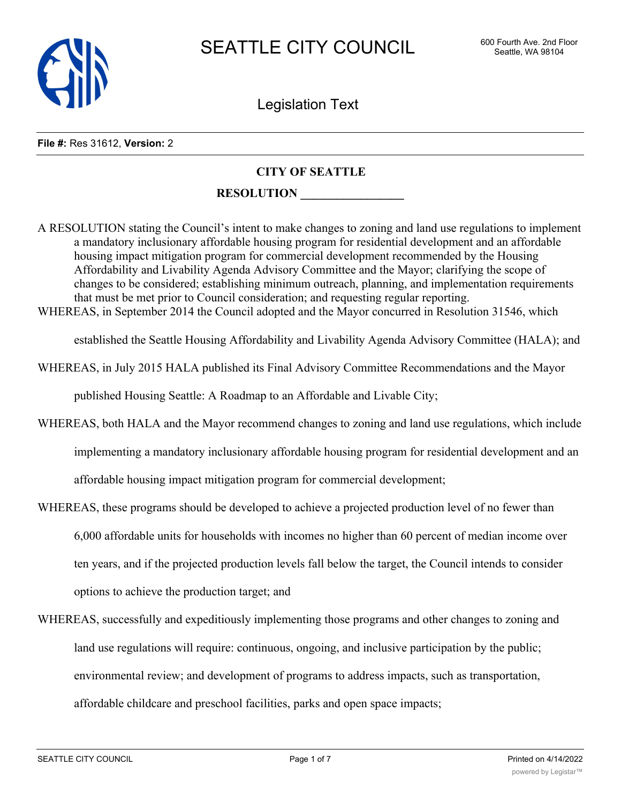

Legislation Text

#### **File #:** Res 31612, **Version:** 2

### **CITY OF SEATTLE**

#### **RESOLUTION \_\_\_\_\_\_\_\_\_\_\_\_\_\_\_\_\_**

A RESOLUTION stating the Council's intent to make changes to zoning and land use regulations to implement a mandatory inclusionary affordable housing program for residential development and an affordable housing impact mitigation program for commercial development recommended by the Housing Affordability and Livability Agenda Advisory Committee and the Mayor; clarifying the scope of changes to be considered; establishing minimum outreach, planning, and implementation requirements that must be met prior to Council consideration; and requesting regular reporting.

WHEREAS, in September 2014 the Council adopted and the Mayor concurred in Resolution 31546, which

established the Seattle Housing Affordability and Livability Agenda Advisory Committee (HALA); and

WHEREAS, in July 2015 HALA published its Final Advisory Committee Recommendations and the Mayor

published Housing Seattle: A Roadmap to an Affordable and Livable City;

- WHEREAS, both HALA and the Mayor recommend changes to zoning and land use regulations, which include implementing a mandatory inclusionary affordable housing program for residential development and an affordable housing impact mitigation program for commercial development;
- WHEREAS, these programs should be developed to achieve a projected production level of no fewer than 6,000 affordable units for households with incomes no higher than 60 percent of median income over ten years, and if the projected production levels fall below the target, the Council intends to consider options to achieve the production target; and
- WHEREAS, successfully and expeditiously implementing those programs and other changes to zoning and land use regulations will require: continuous, ongoing, and inclusive participation by the public; environmental review; and development of programs to address impacts, such as transportation, affordable childcare and preschool facilities, parks and open space impacts;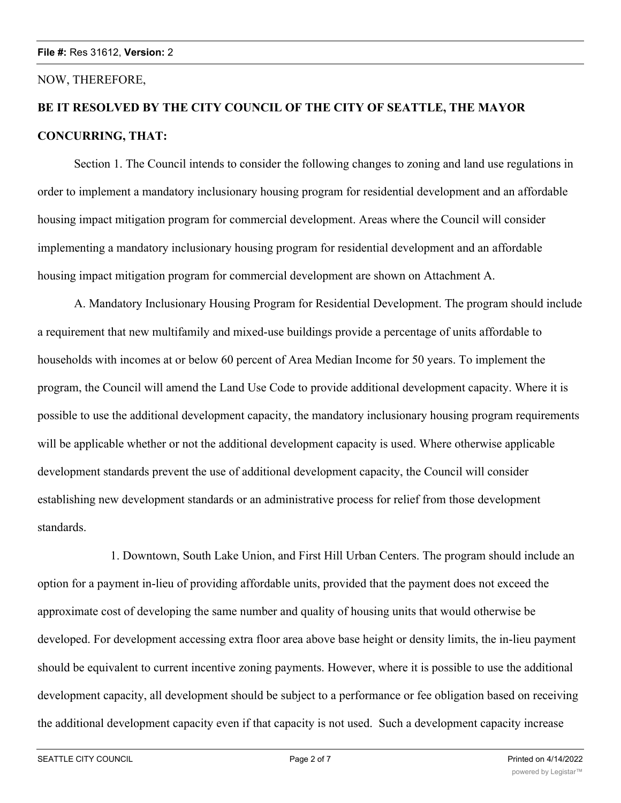#### NOW, THEREFORE,

# **BE IT RESOLVED BY THE CITY COUNCIL OF THE CITY OF SEATTLE, THE MAYOR CONCURRING, THAT:**

Section 1. The Council intends to consider the following changes to zoning and land use regulations in order to implement a mandatory inclusionary housing program for residential development and an affordable housing impact mitigation program for commercial development. Areas where the Council will consider implementing a mandatory inclusionary housing program for residential development and an affordable housing impact mitigation program for commercial development are shown on Attachment A.

A. Mandatory Inclusionary Housing Program for Residential Development. The program should include a requirement that new multifamily and mixed-use buildings provide a percentage of units affordable to households with incomes at or below 60 percent of Area Median Income for 50 years. To implement the program, the Council will amend the Land Use Code to provide additional development capacity. Where it is possible to use the additional development capacity, the mandatory inclusionary housing program requirements will be applicable whether or not the additional development capacity is used. Where otherwise applicable development standards prevent the use of additional development capacity, the Council will consider establishing new development standards or an administrative process for relief from those development standards.

1. Downtown, South Lake Union, and First Hill Urban Centers. The program should include an option for a payment in-lieu of providing affordable units, provided that the payment does not exceed the approximate cost of developing the same number and quality of housing units that would otherwise be developed. For development accessing extra floor area above base height or density limits, the in-lieu payment should be equivalent to current incentive zoning payments. However, where it is possible to use the additional development capacity, all development should be subject to a performance or fee obligation based on receiving the additional development capacity even if that capacity is not used. Such a development capacity increase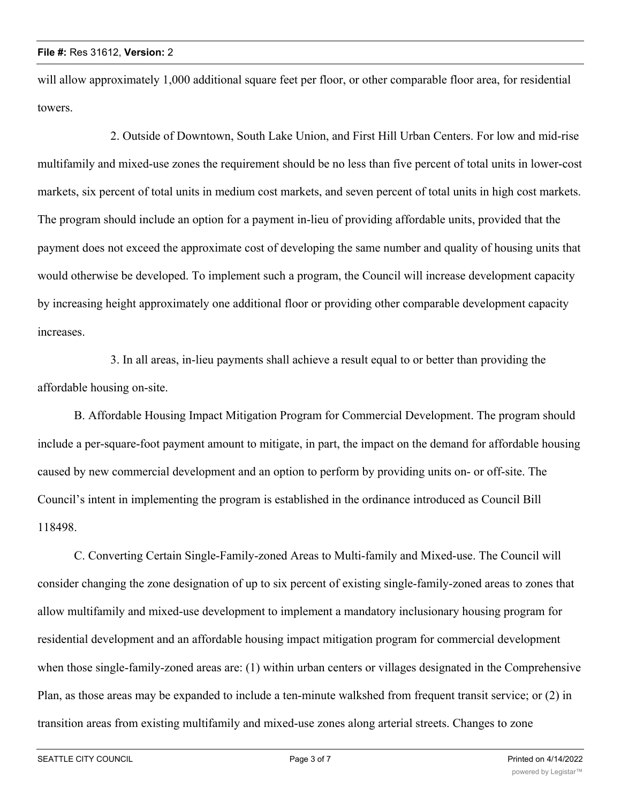will allow approximately 1,000 additional square feet per floor, or other comparable floor area, for residential towers.

2. Outside of Downtown, South Lake Union, and First Hill Urban Centers. For low and mid-rise multifamily and mixed-use zones the requirement should be no less than five percent of total units in lower-cost markets, six percent of total units in medium cost markets, and seven percent of total units in high cost markets. The program should include an option for a payment in-lieu of providing affordable units, provided that the payment does not exceed the approximate cost of developing the same number and quality of housing units that would otherwise be developed. To implement such a program, the Council will increase development capacity by increasing height approximately one additional floor or providing other comparable development capacity increases.

3. In all areas, in-lieu payments shall achieve a result equal to or better than providing the affordable housing on-site.

B. Affordable Housing Impact Mitigation Program for Commercial Development. The program should include a per-square-foot payment amount to mitigate, in part, the impact on the demand for affordable housing caused by new commercial development and an option to perform by providing units on- or off-site. The Council's intent in implementing the program is established in the ordinance introduced as Council Bill 118498.

C. Converting Certain Single-Family-zoned Areas to Multi-family and Mixed-use. The Council will consider changing the zone designation of up to six percent of existing single-family-zoned areas to zones that allow multifamily and mixed-use development to implement a mandatory inclusionary housing program for residential development and an affordable housing impact mitigation program for commercial development when those single-family-zoned areas are: (1) within urban centers or villages designated in the Comprehensive Plan, as those areas may be expanded to include a ten-minute walkshed from frequent transit service; or (2) in transition areas from existing multifamily and mixed-use zones along arterial streets. Changes to zone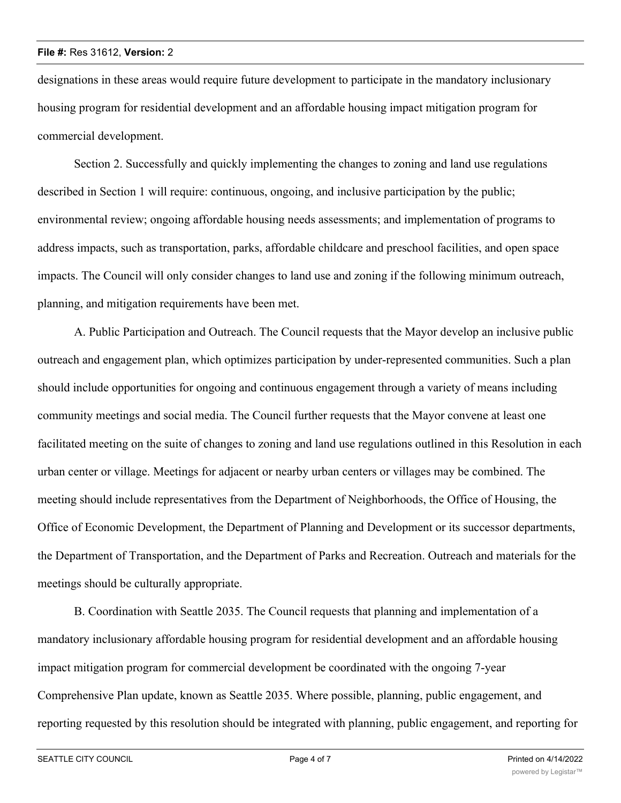designations in these areas would require future development to participate in the mandatory inclusionary housing program for residential development and an affordable housing impact mitigation program for commercial development.

Section 2. Successfully and quickly implementing the changes to zoning and land use regulations described in Section 1 will require: continuous, ongoing, and inclusive participation by the public; environmental review; ongoing affordable housing needs assessments; and implementation of programs to address impacts, such as transportation, parks, affordable childcare and preschool facilities, and open space impacts. The Council will only consider changes to land use and zoning if the following minimum outreach, planning, and mitigation requirements have been met.

A. Public Participation and Outreach. The Council requests that the Mayor develop an inclusive public outreach and engagement plan, which optimizes participation by under-represented communities. Such a plan should include opportunities for ongoing and continuous engagement through a variety of means including community meetings and social media. The Council further requests that the Mayor convene at least one facilitated meeting on the suite of changes to zoning and land use regulations outlined in this Resolution in each urban center or village. Meetings for adjacent or nearby urban centers or villages may be combined. The meeting should include representatives from the Department of Neighborhoods, the Office of Housing, the Office of Economic Development, the Department of Planning and Development or its successor departments, the Department of Transportation, and the Department of Parks and Recreation. Outreach and materials for the meetings should be culturally appropriate.

B. Coordination with Seattle 2035. The Council requests that planning and implementation of a mandatory inclusionary affordable housing program for residential development and an affordable housing impact mitigation program for commercial development be coordinated with the ongoing 7-year Comprehensive Plan update, known as Seattle 2035. Where possible, planning, public engagement, and reporting requested by this resolution should be integrated with planning, public engagement, and reporting for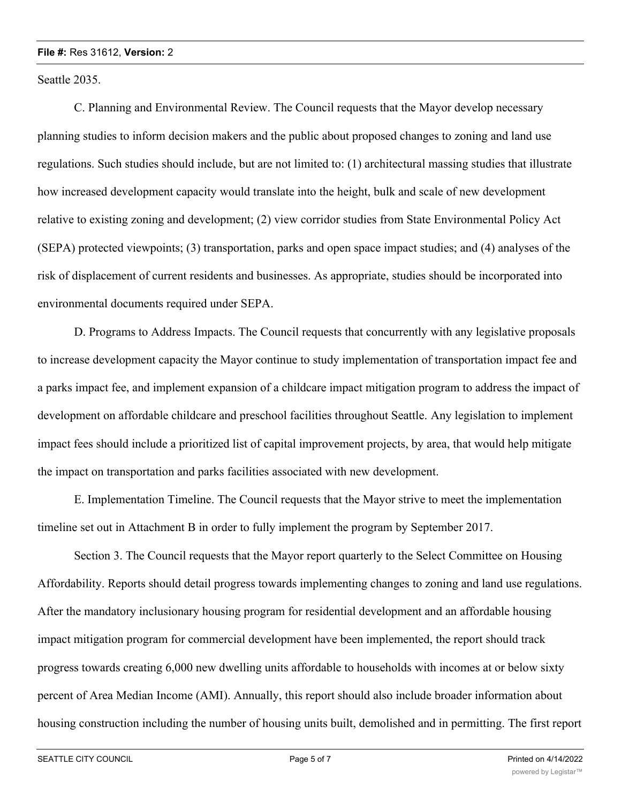Seattle 2035.

C. Planning and Environmental Review. The Council requests that the Mayor develop necessary planning studies to inform decision makers and the public about proposed changes to zoning and land use regulations. Such studies should include, but are not limited to: (1) architectural massing studies that illustrate how increased development capacity would translate into the height, bulk and scale of new development relative to existing zoning and development; (2) view corridor studies from State Environmental Policy Act (SEPA) protected viewpoints; (3) transportation, parks and open space impact studies; and (4) analyses of the risk of displacement of current residents and businesses. As appropriate, studies should be incorporated into environmental documents required under SEPA.

D. Programs to Address Impacts. The Council requests that concurrently with any legislative proposals to increase development capacity the Mayor continue to study implementation of transportation impact fee and a parks impact fee, and implement expansion of a childcare impact mitigation program to address the impact of development on affordable childcare and preschool facilities throughout Seattle. Any legislation to implement impact fees should include a prioritized list of capital improvement projects, by area, that would help mitigate the impact on transportation and parks facilities associated with new development.

E. Implementation Timeline. The Council requests that the Mayor strive to meet the implementation timeline set out in Attachment B in order to fully implement the program by September 2017.

Section 3. The Council requests that the Mayor report quarterly to the Select Committee on Housing Affordability. Reports should detail progress towards implementing changes to zoning and land use regulations. After the mandatory inclusionary housing program for residential development and an affordable housing impact mitigation program for commercial development have been implemented, the report should track progress towards creating 6,000 new dwelling units affordable to households with incomes at or below sixty percent of Area Median Income (AMI). Annually, this report should also include broader information about housing construction including the number of housing units built, demolished and in permitting. The first report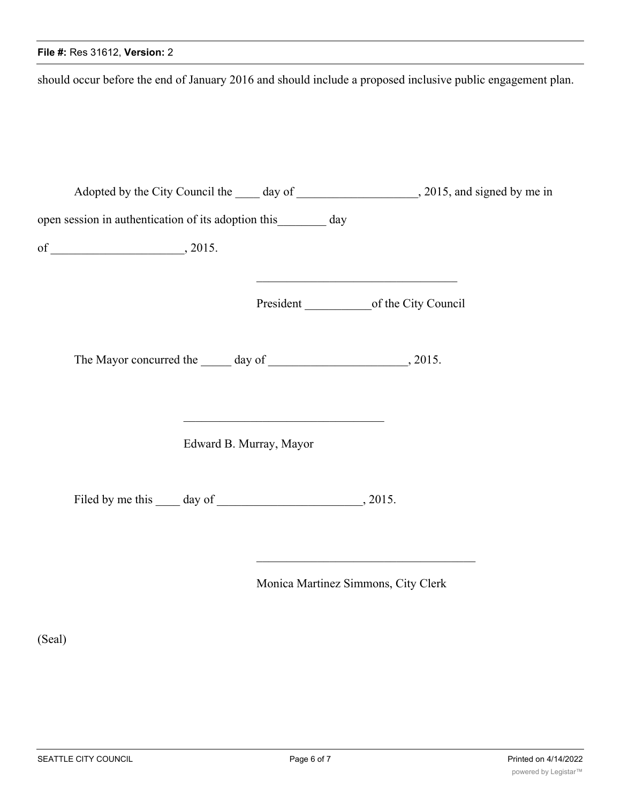## **File #:** Res 31612, **Version:** 2

should occur before the end of January 2016 and should include a proposed inclusive public engagement plan.

|  |                                                                  |                                                                                                                                  | Adopted by the City Council the 100 day of 2015, and signed by me in |
|--|------------------------------------------------------------------|----------------------------------------------------------------------------------------------------------------------------------|----------------------------------------------------------------------|
|  | open session in authentication of its adoption this ________ day |                                                                                                                                  |                                                                      |
|  |                                                                  |                                                                                                                                  |                                                                      |
|  |                                                                  |                                                                                                                                  |                                                                      |
|  |                                                                  |                                                                                                                                  |                                                                      |
|  |                                                                  | Edward B. Murray, Mayor                                                                                                          |                                                                      |
|  |                                                                  |                                                                                                                                  |                                                                      |
|  |                                                                  | the control of the control of the control of the control of the control of the control of<br>Monica Martinez Simmons, City Clerk |                                                                      |

(Seal)